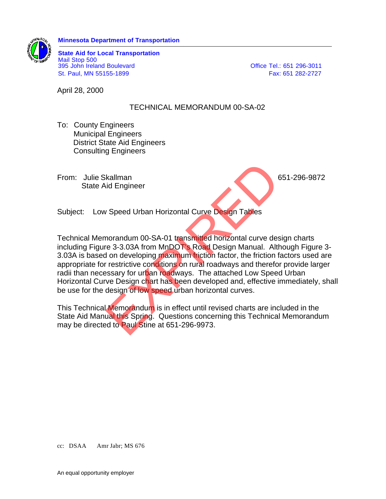

**State Aid for Local Transportation** Mail Stop 500 395 John Ireland Boulevard **Canadian Control Control Control Control Control Control Control Control Control Control Control Control Control Control Control Control Control Control Control Control Control Control Control C** St. Paul, MN 55155-1899 Fax: 651 282-2727

April 28, 2000

## TECHNICAL MEMORANDUM 00-SA-02

- To: County Engineers Municipal Engineers District State Aid Engineers Consulting Engineers
- From: Julie Skallman 651-296-9872 State Aid Engineer

Subject: Low Speed Urban Horizontal Curve Design Tables

Technical Memorandum 00-SA-01 transmitted horizontal curve design charts including Figure 3-3.03A from MnDOT's Road Design Manual. Although Figure 3- 3.03A is based on developing maximum friction factor, the friction factors used are appropriate for restrictive conditions on rural roadways and therefor provide larger radii than necessary for urban roadways. The attached Low Speed Urban Horizontal Curve Design chart has been developed and, effective immediately, shall be use for the design of low speed urban horizontal curves. kallman<br>
v Speed Urban Horizontal Curve Design Tables<br>
1999 - Speed Urban Horizontal Curve Design Tables<br>
For 3-3.03A from MnDOT's Road Design Manual. Althon developing maximum friction factor, the friction f<br>
1999 - The s

This Technical Memorandum is in effect until revised charts are included in the State Aid Manual this Spring. Questions concerning this Technical Memorandum may be directed to Paul Stine at 651-296-9973.

cc: DSAA Amr Jabr; MS 676